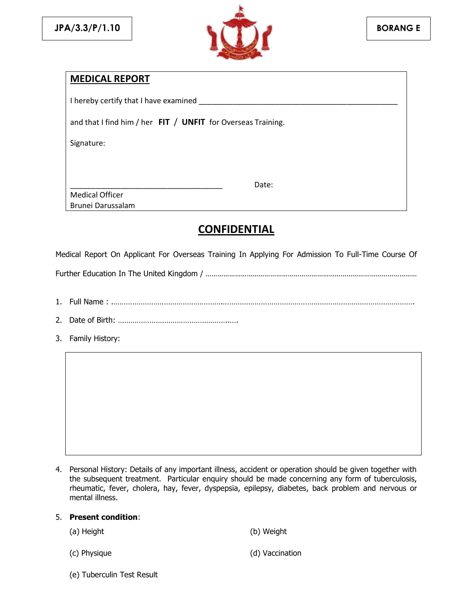

# **MEDICAL REPORT**

| I hereby certify that I have examined                          |  |  |  |  |  |  |  |  |
|----------------------------------------------------------------|--|--|--|--|--|--|--|--|
| and that I find him / her $FIT / UNFIT$ for Overseas Training. |  |  |  |  |  |  |  |  |
| Signature:                                                     |  |  |  |  |  |  |  |  |
| Date:<br><b>Medical Officer</b>                                |  |  |  |  |  |  |  |  |
| Brunei Darussalam                                              |  |  |  |  |  |  |  |  |

# **CONFIDENTIAL**

Medical Report On Applicant For Overseas Training In Applying For Admission To Full-Time Course Of

Further Education In The United Kingdom / ………………………………………………………………………………………………

- 1. Full Name : .…………………………………………….……………………………………………………………………………….
- 2. Date of Birth: ……………………………………………..….
- 3. Family History:

4. Personal History: Details of any important illness, accident or operation should be given together with the subsequent treatment. Particular enquiry should be made concerning any form of tuberculosis, rheumatic, fever, cholera, hay, fever, dyspepsia, epilepsy, diabetes, back problem and nervous or mental illness.

## 5. **Present condition**:

| (a) Height   | (b) Weight      |
|--------------|-----------------|
| (c) Physique | (d) Vaccination |

(e) Tuberculin Test Result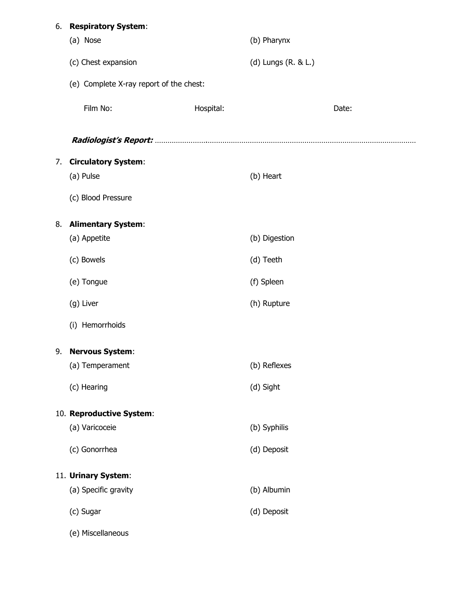| 6. | <b>Respiratory System:</b>              |           |                     |       |  |
|----|-----------------------------------------|-----------|---------------------|-------|--|
|    | (a) Nose                                |           | (b) Pharynx         |       |  |
|    | (c) Chest expansion                     |           | (d) Lungs (R. & L.) |       |  |
|    | (e) Complete X-ray report of the chest: |           |                     |       |  |
|    | Film No:                                | Hospital: |                     | Date: |  |
|    |                                         |           |                     |       |  |
| 7. | <b>Circulatory System:</b>              |           |                     |       |  |
|    | (a) Pulse                               |           | (b) Heart           |       |  |
|    | (c) Blood Pressure                      |           |                     |       |  |
| 8. | <b>Alimentary System:</b>               |           |                     |       |  |
|    | (a) Appetite                            |           | (b) Digestion       |       |  |
|    | (c) Bowels                              |           | (d) Teeth           |       |  |
|    | (e) Tongue                              |           | (f) Spleen          |       |  |
|    | (g) Liver                               |           | (h) Rupture         |       |  |
|    | (i) Hemorrhoids                         |           |                     |       |  |
| 9. | <b>Nervous System:</b>                  |           |                     |       |  |
|    | (a) Temperament                         |           | (b) Reflexes        |       |  |
|    | (c) Hearing                             |           | (d) Sight           |       |  |
|    | 10. Reproductive System:                |           |                     |       |  |
|    | (a) Varicoceie                          |           | (b) Syphilis        |       |  |
|    | (c) Gonorrhea                           |           | (d) Deposit         |       |  |
|    | 11. Urinary System:                     |           |                     |       |  |
|    | (a) Specific gravity                    |           | (b) Albumin         |       |  |
|    | (c) Sugar                               |           | (d) Deposit         |       |  |
|    | (e) Miscellaneous                       |           |                     |       |  |